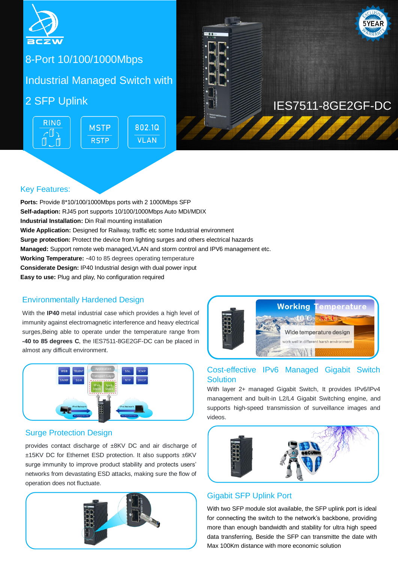

## $\frac{1}{2}$  - Port for food industrial poems  $\frac{1}{2}$ 8-Port 10/100/1000Mbps

**Switch Managed United** Industrial Managed Switch with

**RING** 802.10 **MSTP** ╭ℿ╮ **VLAN RSTP** 



# 2 SFP Uplink **International Contract of the Uplink** IES7511-8GE2GF-DC

## Key Features:

**Ports:** Provide 8\*10/100/1000Mbps ports with 2 1000Mbps SFP **Self-adaption:** RJ45 port supports 10/100/1000Mbps Auto MDI/MDIX **Industrial Installation:** Din Rail mounting installation **Wide Application:** Designed for Railway, traffic etc some Industrial environment **Surge protection:** Protect the device from lighting surges and others electrical hazards **Managed:** Support remote web managed,VLAN and storm control and IPV6 management etc. **Working Temperature:** -40 to 85 degrees operating temperature **Considerate Design: IP40 Industrial design with dual power input Easy to use:** Plug and play, No configuration required

## Environmentally Hardened Design

With the **IP40** metal industrial case which provides a high level of immunity against electromagnetic interference and heavy electrical surges,Being able to operate under the temperature range from **-40 to 85 degrees C**, the IES7511-8GE2GF-DC can be placed in almost any difficult environment.



#### Surge Protection Design

provides contact discharge of ±8KV DC and air discharge of ±15KV DC for Ethernet ESD protection. It also supports ±6KV surge immunity to improve product stability and protects users' networks from devastating ESD attacks, making sure the flow of operation does not fluctuate.





#### Cost-effective IPv6 Managed Gigabit Switch **Solution**

With layer 2+ managed Gigabit Switch, It provides IPv6/IPv4 management and built-in L2/L4 Gigabit Switching engine, and supports high-speed transmission of surveillance images and videos.



## Gigabit SFP Uplink Port

With two SFP module slot available, the SFP uplink port is ideal for connecting the switch to the network's backbone, providing more than enough bandwidth and stability for ultra high speed data transferring, Beside the SFP can transmitte the date with Max 100Km distance with more economic solution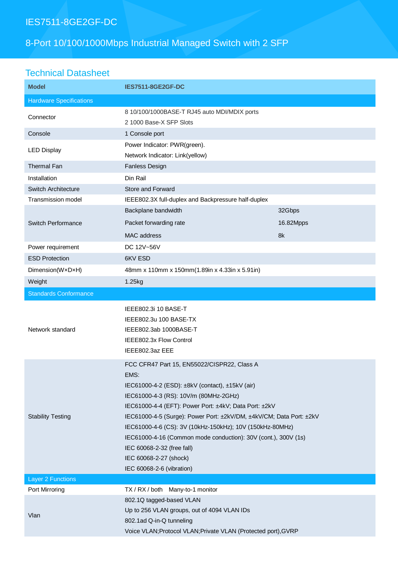## IES7511-8GE2GF-DC

## 8-Port 10/100/1000Mbps Industrial Managed Switch with 2 SFP

## Technical Datasheet

| <b>Model</b>                   | <b>IES7511-8GE2GF-DC</b>                                                                                                                                                                                                                                                                                                                                                                                                                                                                           |           |
|--------------------------------|----------------------------------------------------------------------------------------------------------------------------------------------------------------------------------------------------------------------------------------------------------------------------------------------------------------------------------------------------------------------------------------------------------------------------------------------------------------------------------------------------|-----------|
| <b>Hardware Specifications</b> |                                                                                                                                                                                                                                                                                                                                                                                                                                                                                                    |           |
| Connector                      | 8 10/100/1000BASE-T RJ45 auto MDI/MDIX ports<br>2 1000 Base-X SFP Slots                                                                                                                                                                                                                                                                                                                                                                                                                            |           |
| Console                        | 1 Console port                                                                                                                                                                                                                                                                                                                                                                                                                                                                                     |           |
| <b>LED Display</b>             | Power Indicator: PWR(green).<br>Network Indicator: Link(yellow)                                                                                                                                                                                                                                                                                                                                                                                                                                    |           |
| <b>Thermal Fan</b>             | Fanless Design                                                                                                                                                                                                                                                                                                                                                                                                                                                                                     |           |
| Installation                   | Din Rail                                                                                                                                                                                                                                                                                                                                                                                                                                                                                           |           |
| <b>Switch Architecture</b>     | Store and Forward                                                                                                                                                                                                                                                                                                                                                                                                                                                                                  |           |
| <b>Transmission model</b>      | IEEE802.3X full-duplex and Backpressure half-duplex                                                                                                                                                                                                                                                                                                                                                                                                                                                |           |
| <b>Switch Performance</b>      | Backplane bandwidth                                                                                                                                                                                                                                                                                                                                                                                                                                                                                | 32Gbps    |
|                                | Packet forwarding rate                                                                                                                                                                                                                                                                                                                                                                                                                                                                             | 16.82Mpps |
|                                | <b>MAC</b> address                                                                                                                                                                                                                                                                                                                                                                                                                                                                                 | 8k        |
| Power requirement              | DC 12V~56V                                                                                                                                                                                                                                                                                                                                                                                                                                                                                         |           |
| <b>ESD Protection</b>          | 6KV ESD                                                                                                                                                                                                                                                                                                                                                                                                                                                                                            |           |
| Dimension(WxDxH)               | 48mm x 110mm x 150mm(1.89in x 4.33in x 5.91in)                                                                                                                                                                                                                                                                                                                                                                                                                                                     |           |
| Weight                         | 1.25kg                                                                                                                                                                                                                                                                                                                                                                                                                                                                                             |           |
| <b>Standards Conformance</b>   |                                                                                                                                                                                                                                                                                                                                                                                                                                                                                                    |           |
| Network standard               | IEEE802.3i 10 BASE-T<br>IEEE802.3u 100 BASE-TX<br>IEEE802.3ab 1000BASE-T<br>IEEE802.3x Flow Control<br>IEEE802.3az EEE                                                                                                                                                                                                                                                                                                                                                                             |           |
| <b>Stability Testing</b>       | FCC CFR47 Part 15, EN55022/CISPR22, Class A<br>EMS:<br>IEC61000-4-2 (ESD): ±8kV (contact), ±15kV (air)<br>IEC61000-4-3 (RS): 10V/m (80MHz-2GHz)<br>IEC61000-4-4 (EFT): Power Port: ±4kV; Data Port: ±2kV<br>IEC61000-4-5 (Surge): Power Port: ±2kV/DM, ±4kV/CM; Data Port: ±2kV<br>IEC61000-4-6 (CS): 3V (10kHz-150kHz); 10V (150kHz-80MHz)<br>IEC61000-4-16 (Common mode conduction): 30V (cont.), 300V (1s)<br>IEC 60068-2-32 (free fall)<br>IEC 60068-2-27 (shock)<br>IEC 60068-2-6 (vibration) |           |
| <b>Layer 2 Functions</b>       |                                                                                                                                                                                                                                                                                                                                                                                                                                                                                                    |           |
| Port Mirroring                 | TX / RX / both<br>Many-to-1 monitor                                                                                                                                                                                                                                                                                                                                                                                                                                                                |           |
| Vlan                           | 802.1Q tagged-based VLAN<br>Up to 256 VLAN groups, out of 4094 VLAN IDs<br>802.1ad Q-in-Q tunneling<br>Voice VLAN; Protocol VLAN; Private VLAN (Protected port), GVRP                                                                                                                                                                                                                                                                                                                              |           |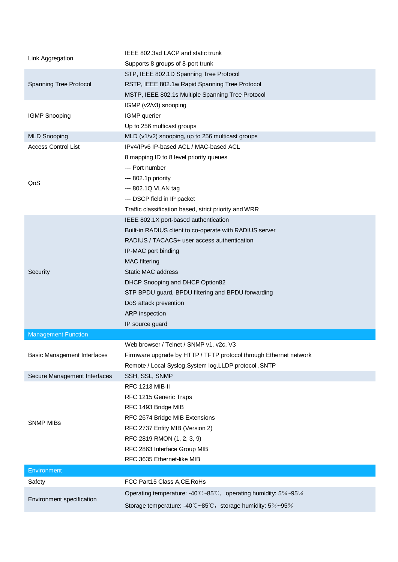| Link Aggregation                   | IEEE 802.3ad LACP and static trunk                                |  |
|------------------------------------|-------------------------------------------------------------------|--|
|                                    | Supports 8 groups of 8-port trunk                                 |  |
|                                    | STP, IEEE 802.1D Spanning Tree Protocol                           |  |
| Spanning Tree Protocol             | RSTP, IEEE 802.1w Rapid Spanning Tree Protocol                    |  |
|                                    | MSTP, IEEE 802.1s Multiple Spanning Tree Protocol                 |  |
|                                    | IGMP (v2/v3) snooping                                             |  |
| <b>IGMP Snooping</b>               | IGMP querier                                                      |  |
|                                    | Up to 256 multicast groups                                        |  |
| <b>MLD Snooping</b>                | MLD (v1/v2) snooping, up to 256 multicast groups                  |  |
| <b>Access Control List</b>         | IPv4/IPv6 IP-based ACL / MAC-based ACL                            |  |
|                                    | 8 mapping ID to 8 level priority queues                           |  |
| QoS                                | --- Port number                                                   |  |
|                                    | --- 802.1p priority                                               |  |
|                                    | --- 802.1Q VLAN tag                                               |  |
|                                    | --- DSCP field in IP packet                                       |  |
|                                    | Traffic classification based, strict priority and WRR             |  |
|                                    | IEEE 802.1X port-based authentication                             |  |
|                                    | Built-in RADIUS client to co-operate with RADIUS server           |  |
|                                    | RADIUS / TACACS+ user access authentication                       |  |
|                                    | IP-MAC port binding                                               |  |
|                                    | <b>MAC</b> filtering                                              |  |
| Security                           | Static MAC address                                                |  |
|                                    | DHCP Snooping and DHCP Option82                                   |  |
|                                    | STP BPDU guard, BPDU filtering and BPDU forwarding                |  |
|                                    | DoS attack prevention                                             |  |
|                                    | ARP inspection                                                    |  |
|                                    | IP source guard                                                   |  |
| <b>Management Function</b>         |                                                                   |  |
|                                    | Web browser / Telnet / SNMP v1, v2c, V3                           |  |
| <b>Basic Management Interfaces</b> | Firmware upgrade by HTTP / TFTP protocol through Ethernet network |  |
|                                    | Remote / Local Syslog, System log, LLDP protocol, SNTP            |  |
| Secure Management Interfaces       | SSH, SSL, SNMP                                                    |  |
|                                    | <b>RFC 1213 MIB-II</b>                                            |  |
| <b>SNMP MIBs</b>                   | RFC 1215 Generic Traps                                            |  |
|                                    | RFC 1493 Bridge MIB                                               |  |
|                                    | RFC 2674 Bridge MIB Extensions                                    |  |
|                                    | RFC 2737 Entity MIB (Version 2)                                   |  |
|                                    | RFC 2819 RMON (1, 2, 3, 9)                                        |  |
|                                    | RFC 2863 Interface Group MIB                                      |  |
|                                    | RFC 3635 Ethernet-like MIB                                        |  |
| Environment                        |                                                                   |  |
| Safety                             | FCC Part15 Class A, CE. RoHs                                      |  |
|                                    | Operating temperature: -40°C~85°C, operating humidity: 5%~95%     |  |
| Environment specification          | Storage temperature: -40°C~85°C, storage humidity: 5%~95%         |  |
|                                    |                                                                   |  |